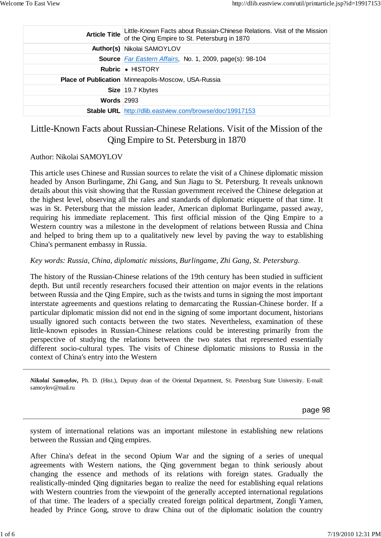| <b>Article Title</b> | Little-Known Facts about Russian-Chinese Relations. Visit of the Mission<br>of the Qing Empire to St. Petersburg in 1870 |
|----------------------|--------------------------------------------------------------------------------------------------------------------------|
|                      | Author(s) Nikolai SAMOYLOV                                                                                               |
|                      | <b>Source</b> Far Eastern Affairs, No. 1, 2009, page(s): 98-104                                                          |
|                      | Rubric • HISTORY                                                                                                         |
|                      | <b>Place of Publication   Minneapolis-Moscow, USA-Russia</b>                                                             |
|                      | Size   19.7 Kbytes                                                                                                       |
| Words $2993$         |                                                                                                                          |
|                      | Stable URL http://dlib.eastview.com/browse/doc/19917153                                                                  |

## Little-Known Facts about Russian-Chinese Relations. Visit of the Mission of the Qing Empire to St. Petersburg in 1870

Author: Nikolai SAMOYLOV

This article uses Chinese and Russian sources to relate the visit of a Chinese diplomatic mission headed by Anson Burlingame, Zhi Gang, and Sun Jiagu to St. Petersburg. It reveals unknown details about this visit showing that the Russian government received the Chinese delegation at the highest level, observing all the rales and standards of diplomatic etiquette of that time. It was in St. Petersburg that the mission leader, American diplomat Burlingame, passed away, requiring his immediate replacement. This first official mission of the Qing Empire to a Western country was a milestone in the development of relations between Russia and China and helped to bring them up to a qualitatively new level by paving the way to establishing China's permanent embassy in Russia.

## *Key words: Russia, China, diplomatic missions, Burlingame, Zhi Gang, St. Petersburg.*

The history of the Russian-Chinese relations of the 19th century has been studied in sufficient depth. But until recently researchers focused their attention on major events in the relations between Russia and the Qing Empire, such as the twists and turns in signing the most important interstate agreements and questions relating to demarcating the Russian-Chinese border. If a particular diplomatic mission did not end in the signing of some important document, historians usually ignored such contacts between the two states. Nevertheless, examination of these little-known episodes in Russian-Chinese relations could be interesting primarily from the perspective of studying the relations between the two states that represented essentially different socio-cultural types. The visits of Chinese diplomatic missions to Russia in the context of China's entry into the Western

*Nikolai Samoylov,* Ph. D. (Hist.), Deputy dean of the Oriental Department, St. Petersburg State University. E-mail: samoylov@mail.ru

page 98

system of international relations was an important milestone in establishing new relations between the Russian and Qing empires.

After China's defeat in the second Opium War and the signing of a series of unequal agreements with Western nations, the Qing government began to think seriously about changing the essence and methods of its relations with foreign states. Gradually the realistically-minded Qing dignitaries began to realize the need for establishing equal relations with Western countries from the viewpoint of the generally accepted international regulations of that time. The leaders of a specially created foreign political department, Zongli Yamen, headed by Prince Gong, strove to draw China out of the diplomatic isolation the country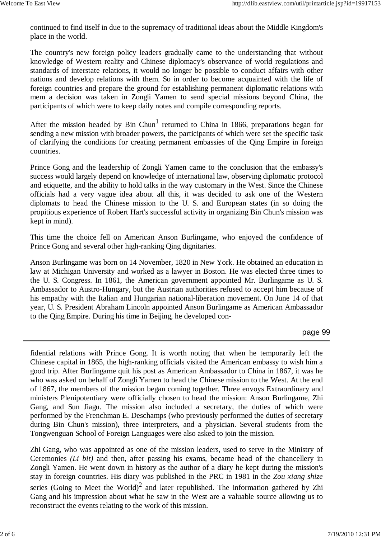continued to find itself in due to the supremacy of traditional ideas about the Middle Kingdom's place in the world.

The country's new foreign policy leaders gradually came to the understanding that without knowledge of Western reality and Chinese diplomacy's observance of world regulations and standards of interstate relations, it would no longer be possible to conduct affairs with other nations and develop relations with them. So in order to become acquainted with the life of foreign countries and prepare the ground for establishing permanent diplomatic relations with mem a decision was taken in Zongli Yamen to send special missions beyond China, the participants of which were to keep daily notes and compile corresponding reports.

After the mission headed by Bin Chun<sup>1</sup> returned to China in 1866, preparations began for sending a new mission with broader powers, the participants of which were set the specific task of clarifying the conditions for creating permanent embassies of the Qing Empire in foreign countries.

Prince Gong and the leadership of Zongli Yamen came to the conclusion that the embassy's success would largely depend on knowledge of international law, observing diplomatic protocol and etiquette, and the ability to hold talks in the way customary in the West. Since the Chinese officials had a very vague idea about all this, it was decided to ask one of the Western diplomats to head the Chinese mission to the U. S. and European states (in so doing the propitious experience of Robert Hart's successful activity in organizing Bin Chun's mission was kept in mind).

This time the choice fell on American Anson Burlingame, who enjoyed the confidence of Prince Gong and several other high-ranking Qing dignitaries.

Anson Burlingame was born on 14 November, 1820 in New York. He obtained an education in law at Michigan University and worked as a lawyer in Boston. He was elected three times to the U. S. Congress. In 1861, the American government appointed Mr. Burlingame as U. S. Ambassador to Austro-Hungary, but the Austrian authorities refused to accept him because of his empathy with the Italian and Hungarian national-liberation movement. On June 14 of that year, U. S. President Abraham Lincoln appointed Anson Burlingame as American Ambassador to the Qing Empire. During his time in Beijing, he developed con-

## page 99

fidential relations with Prince Gong. It is worth noting that when he temporarily left the Chinese capital in 1865, the high-ranking officials visited the American embassy to wish him a good trip. After Burlingame quit his post as American Ambassador to China in 1867, it was he who was asked on behalf of Zongli Yamen to head the Chinese mission to the West. At the end of 1867, the members of the mission began coming together. Three envoys Extraordinary and ministers Plenipotentiary were officially chosen to head the mission: Anson Burlingame, Zhi Gang, and Sun Jiagu. The mission also included a secretary, the duties of which were performed by the Frenchman E. Deschamps (who previously performed the duties of secretary during Bin Chun's mission), three interpreters, and a physician. Several students from the Tongwenguan School of Foreign Languages were also asked to join the mission.

Zhi Gang, who was appointed as one of the mission leaders, used to serve in the Ministry of Ceremonies *(Li bit)* and then, after passing his exams, became head of the chancellery in Zongli Yamen. He went down in history as the author of a diary he kept during the mission's stay in foreign countries. His diary was published in the PRC in 1981 in the *Zou xiang shize* series (Going to Meet the World)<sup>2</sup> and later republished. The information gathered by Zhi Gang and his impression about what he saw in the West are a valuable source allowing us to reconstruct the events relating to the work of this mission.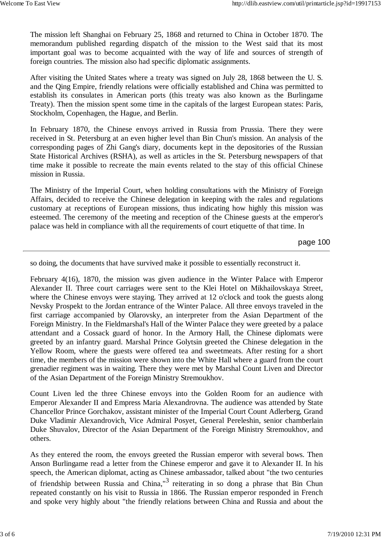The mission left Shanghai on February 25, 1868 and returned to China in October 1870. The memorandum published regarding dispatch of the mission to the West said that its most important goal was to become acquainted with the way of life and sources of strength of foreign countries. The mission also had specific diplomatic assignments.

After visiting the United States where a treaty was signed on July 28, 1868 between the U. S. and the Qing Empire, friendly relations were officially established and China was permitted to establish its consulates in American ports (this treaty was also known as the Burlingame Treaty). Then the mission spent some time in the capitals of the largest European states: Paris, Stockholm, Copenhagen, the Hague, and Berlin.

In February 1870, the Chinese envoys arrived in Russia from Prussia. There they were received in St. Petersburg at an even higher level than Bin Chun's mission. An analysis of the corresponding pages of Zhi Gang's diary, documents kept in the depositories of the Russian State Historical Archives (RSHA), as well as articles in the St. Petersburg newspapers of that time make it possible to recreate the main events related to the stay of this official Chinese mission in Russia.

The Ministry of the Imperial Court, when holding consultations with the Ministry of Foreign Affairs, decided to receive the Chinese delegation in keeping with the rales and regulations customary at receptions of European missions, thus indicating how highly this mission was esteemed. The ceremony of the meeting and reception of the Chinese guests at the emperor's palace was held in compliance with all the requirements of court etiquette of that time. In

page 100

so doing, the documents that have survived make it possible to essentially reconstruct it.

February 4(16), 1870, the mission was given audience in the Winter Palace with Emperor Alexander II. Three court carriages were sent to the Klei Hotel on Mikhailovskaya Street, where the Chinese envoys were staying. They arrived at 12 o'clock and took the guests along Nevsky Prospekt to the Jordan entrance of the Winter Palace. All three envoys traveled in the first carriage accompanied by Olarovsky, an interpreter from the Asian Department of the Foreign Ministry. In the Fieldmarshal's Hall of the Winter Palace they were greeted by a palace attendant and a Cossack guard of honor. In the Armory Hall, the Chinese diplomats were greeted by an infantry guard. Marshal Prince Golytsin greeted the Chinese delegation in the Yellow Room, where the guests were offered tea and sweetmeats. After resting for a short time, the members of the mission were shown into the White Hall where a guard from the court grenadier regiment was in waiting. There they were met by Marshal Count Liven and Director of the Asian Department of the Foreign Ministry Stremoukhov.

Count Liven led the three Chinese envoys into the Golden Room for an audience with Emperor Alexander II and Empress Maria Alexandrovna. The audience was attended by State Chancellor Prince Gorchakov, assistant minister of the Imperial Court Count Adlerberg, Grand Duke Vladimir Alexandrovich, Vice Admiral Posyet, General Pereleshin, senior chamberlain Duke Shuvalov, Director of the Asian Department of the Foreign Ministry Stremoukhov, and others.

As they entered the room, the envoys greeted the Russian emperor with several bows. Then Anson Burlingame read a letter from the Chinese emperor and gave it to Alexander II. In his speech, the American diplomat, acting as Chinese ambassador, talked about "the two centuries of friendship between Russia and China,"<sup>3</sup> reiterating in so dong a phrase that Bin Chun repeated constantly on his visit to Russia in 1866. The Russian emperor responded in French and spoke very highly about "the friendly relations between China and Russia and about the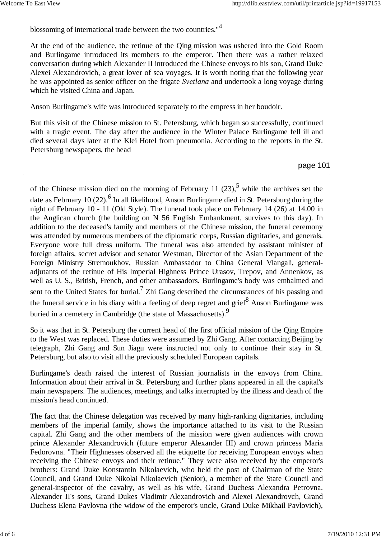blossoming of international trade between the two countries."<sup>4</sup>

At the end of the audience, the retinue of the Qing mission was ushered into the Gold Room and Burlingame introduced its members to the emperor. Then there was a rather relaxed conversation during which Alexander II introduced the Chinese envoys to his son, Grand Duke Alexei Alexandrovich, a great lover of sea voyages. It is worth noting that the following year he was appointed as senior officer on the frigate *Svetlana* and undertook a long voyage during which he visited China and Japan.

Anson Burlingame's wife was introduced separately to the empress in her boudoir.

But this visit of the Chinese mission to St. Petersburg, which began so successfully, continued with a tragic event. The day after the audience in the Winter Palace Burlingame fell ill and died several days later at the Klei Hotel from pneumonia. According to the reports in the St. Petersburg newspapers, the head

page 101

of the Chinese mission died on the morning of February 11 (23),<sup>5</sup> while the archives set the date as February 10 (22). <sup>6</sup> In all likelihood, Anson Burlingame died in St. Petersburg during the night of February 10 - 11 (Old Style). The funeral took place on February 14 (26) at 14.00 in the Anglican church (the building on N 56 English Embankment, survives to this day). In addition to the deceased's family and members of the Chinese mission, the funeral ceremony was attended by numerous members of the diplomatic corps, Russian dignitaries, and generals. Everyone wore full dress uniform. The funeral was also attended by assistant minister of foreign affairs, secret advisor and senator Westman, Director of the Asian Department of the Foreign Ministry Stremoukhov, Russian Ambassador to China General Vlangali, generaladjutants of the retinue of His Imperial Highness Prince Urasov, Trepov, and Annenkov, as well as U. S., British, French, and other ambassadors. Burlingame's body was embalmed and sent to the United States for burial.<sup>7</sup> Zhi Gang described the circumstances of his passing and the funeral service in his diary with a feeling of deep regret and grief<sup>8</sup> Anson Burlingame was buried in a cemetery in Cambridge (the state of Massachusetts).<sup>9</sup>

So it was that in St. Petersburg the current head of the first official mission of the Qing Empire to the West was replaced. These duties were assumed by Zhi Gang. After contacting Beijing by telegraph, Zhi Gang and Sun Jiagu were instructed not only to continue their stay in St. Petersburg, but also to visit all the previously scheduled European capitals.

Burlingame's death raised the interest of Russian journalists in the envoys from China. Information about their arrival in St. Petersburg and further plans appeared in all the capital's main newspapers. The audiences, meetings, and talks interrupted by the illness and death of the mission's head continued.

The fact that the Chinese delegation was received by many high-ranking dignitaries, including members of the imperial family, shows the importance attached to its visit to the Russian capital. Zhi Gang and the other members of the mission were given audiences with crown prince Alexander Alexandrovich (future emperor Alexander III) and crown princess Maria Fedorovna. "Their Highnesses observed all the etiquette for receiving European envoys when receiving the Chinese envoys and their retinue." They were also received by the emperor's brothers: Grand Duke Konstantin Nikolaevich, who held the post of Chairman of the State Council, and Grand Duke Nikolai Nikolaevich (Senior), a member of the State Council and general-inspector of the cavalry, as well as his wife, Grand Duchess Alexandra Petrovna. Alexander II's sons, Grand Dukes Vladimir Alexandrovich and Alexei Alexandrovch, Grand Duchess Elena Pavlovna (the widow of the emperor's uncle, Grand Duke Mikhail Pavlovich),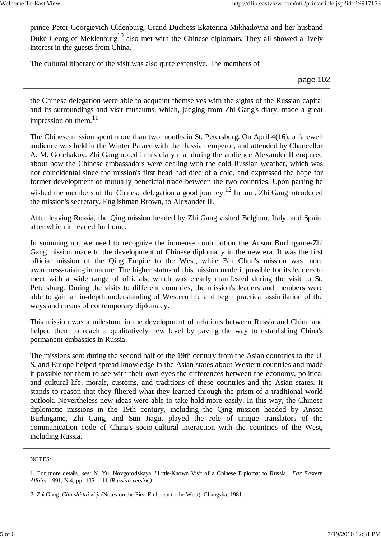prince Peter Georgievich Oldenburg, Grand Duchess Ekaterina Mikhailovna and her husband Duke Georg of Meklenburg<sup>10</sup> also met with the Chinese diplomats. They all showed a lively interest in the guests from China.

The cultural itinerary of the visit was also quite extensive. The members of

page 102

the Chinese delegation were able to acquaint themselves with the sights of the Russian capital and its surroundings and visit museums, which, judging from Zhi Gang's diary, made a great impression on them. $11$ 

The Chinese mission spent more than two months in St. Petersburg. On April 4(16), a farewell audience was held in the Winter Palace with the Russian emperor, and attended by Chancellor A. M. Gorchakov. Zhi Gang noted in his diary mat during the audience Alexander II enquired about how the Chinese ambassadors were dealing with the cold Russian weather, which was not coincidental since the mission's first head had died of a cold, and expressed the hope for former development of mutually beneficial trade between the two countries. Upon parting he wished the members of the Chinese delegation a good journey.<sup>12</sup> In turn, Zhi Gang introduced the mission's secretary, Englishman Brown, to Alexander II.

After leaving Russia, the Qing mission headed by Zhi Gang visited Belgium, Italy, and Spain, after which it headed for home.

In summing up, we need to recognize the immense contribution the Anson Burlingame-Zhi Gang mission made to the development of Chinese diplomacy in the new era. It was the first official mission of the Qing Empire to the West, while Bin Chun's mission was more awareness-raising in nature. The higher status of this mission made it possible for its leaders to meet with a wide range of officials, which was clearly manifested during the visit to St. Petersburg. During the visits to different countries, the mission's leaders and members were able to gain an in-depth understanding of Western life and begin practical assimilation of the ways and means of contemporary diplomacy.

This mission was a milestone in the development of relations between Russia and China and helped them to reach a qualitatively new level by paving the way to establishing China's permanent embassies in Russia.

The missions sent during the second half of the 19th century from the Asian countries to the U. S. and Europe helped spread knowledge in the Asian states about Western countries and made it possible for them to see with their own eyes the differences between the economy, political and cultural life, morals, customs, and traditions of these countries and the Asian states. It stands to reason that they filtered what they learned through the prism of a traditional world outlook. Nevertheless new ideas were able to take hold more easily. In this way, the Chinese diplomatic missions in the 19th century, including the Qing mission headed by Anson Burlingame, Zhi Gang, and Sun Jiagu, played the role of unique translators of the communication code of China's socio-cultural interaction with the countries of the West, including Russia.

NOTES:

<sup>1.</sup> For more details, *see:* N. Yu. Novgorodskaya. "Little-Known Visit of a Chinese Diplomat to Russia." *Far Eastern Affairs,* 1991, N 4, pp. 105 - 111 *(Russian version).*

*<sup>2.</sup>* Zhi Gang. *Chu shi tai xi ji* (Notes on the First Embassy to the West). Changsha, 1981.